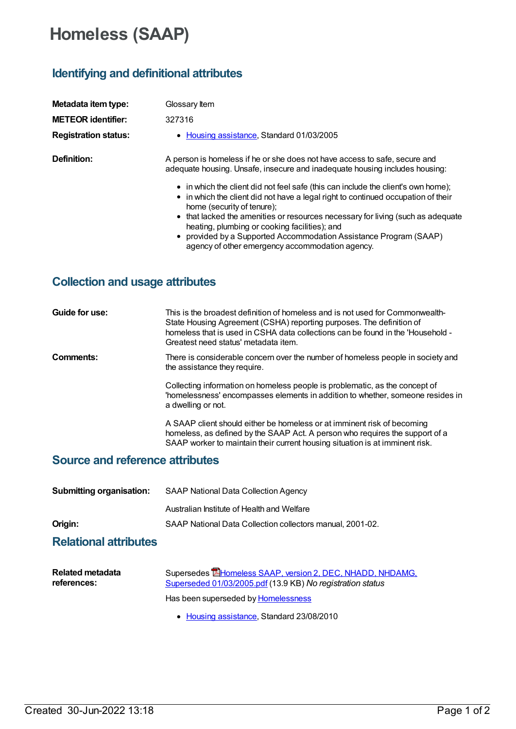## **Homeless (SAAP)**

## **Identifying and definitional attributes**

| Metadata item type:         | Glossary Item                                                                                                                                                                                        |
|-----------------------------|------------------------------------------------------------------------------------------------------------------------------------------------------------------------------------------------------|
| <b>METEOR identifier:</b>   | 327316                                                                                                                                                                                               |
| <b>Registration status:</b> | • Housing assistance, Standard 01/03/2005                                                                                                                                                            |
| Definition:                 | A person is homeless if he or she does not have access to safe, secure and<br>adequate housing. Unsafe, insecure and inadequate housing includes housing:                                            |
|                             | • in which the client did not feel safe (this can include the client's own home);<br>• in which the client did not have a legal right to continued occupation of their<br>home (security of tenure); |
|                             | • that lacked the amenities or resources necessary for living (such as adequate<br>heating, plumbing or cooking facilities); and                                                                     |
|                             | • provided by a Supported Accommodation Assistance Program (SAAP)<br>agency of other emergency accommodation agency.                                                                                 |

## **Collection and usage attributes**

| Guide for use:                  | This is the broadest definition of homeless and is not used for Commonwealth-<br>State Housing Agreement (CSHA) reporting purposes. The definition of<br>homeless that is used in CSHA data collections can be found in the 'Household -<br>Greatest need status' metadata item. |
|---------------------------------|----------------------------------------------------------------------------------------------------------------------------------------------------------------------------------------------------------------------------------------------------------------------------------|
| <b>Comments:</b>                | There is considerable concern over the number of homeless people in society and<br>the assistance they require.                                                                                                                                                                  |
|                                 | Collecting information on homeless people is problematic, as the concept of<br>'homelessness' encompasses elements in addition to whether, someone resides in<br>a dwelling or not.                                                                                              |
|                                 | A SAAP client should either be homeless or at imminent risk of becoming<br>homeless, as defined by the SAAP Act. A person who requires the support of a<br>SAAP worker to maintain their current housing situation is at imminent risk.                                          |
| Source and reference attributes |                                                                                                                                                                                                                                                                                  |

## **Source and reference attributes**

| <b>Submitting organisation:</b> | <b>SAAP National Data Collection Agency</b>               |
|---------------------------------|-----------------------------------------------------------|
|                                 | Australian Institute of Health and Welfare                |
| Origin:                         | SAAP National Data Collection collectors manual, 2001-02. |
| <b>Relational attributes</b>    |                                                           |

| Related metadata | Supersedes <b>E</b> Homeless SAAP, version 2, DEC, NHADD, NHDAMG, |
|------------------|-------------------------------------------------------------------|
| references:      | Superseded 01/03/2005.pdf (13.9 KB) No registration status        |
|                  | Has been superseded by Homelessness                               |

• Housing [assistance](https://meteor.aihw.gov.au/RegistrationAuthority/11), Standard 23/08/2010